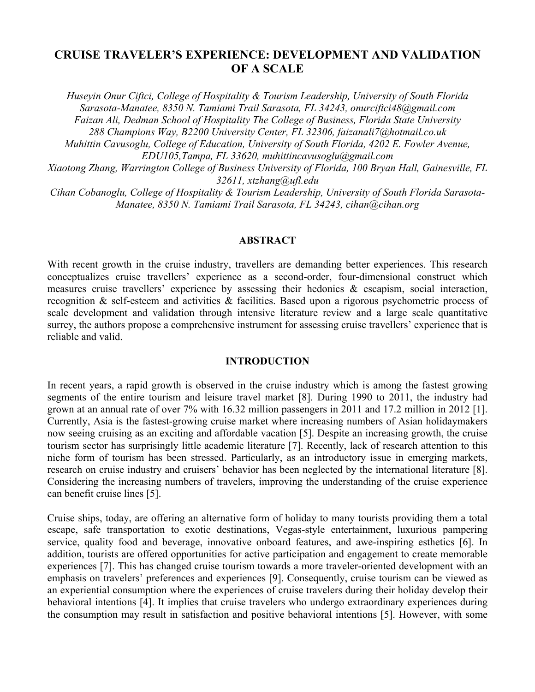# **CRUISE TRAVELER'S EXPERIENCE: DEVELOPMENT AND VALIDATION OF A SCALE**

*Huseyin Onur Ciftci, College of Hospitality & Tourism Leadership, University of South Florida Sarasota-Manatee, 8350 N. Tamiami Trail Sarasota, FL 34243, onurciftci48@gmail.com Faizan Ali, Dedman School of Hospitality The College of Business, Florida State University 288 Champions Way, B2200 University Center, FL 32306, faizanali7@hotmail.co.uk Muhittin Cavusoglu, College of Education, University of South Florida, 4202 E. Fowler Avenue, EDU105,Tampa, FL 33620, muhittincavusoglu@gmail.com Xiaotong Zhang, Warrington College of Business University of Florida, 100 Bryan Hall, Gainesville, FL 32611, xtzhang@ufl.edu*

*Cihan Cobanoglu, College of Hospitality & Tourism Leadership, University of South Florida Sarasota-Manatee, 8350 N. Tamiami Trail Sarasota, FL 34243, cihan@cihan.org*

# **ABSTRACT**

With recent growth in the cruise industry, travellers are demanding better experiences. This research conceptualizes cruise travellers' experience as a second-order, four-dimensional construct which measures cruise travellers' experience by assessing their hedonics & escapism, social interaction, recognition & self-esteem and activities & facilities. Based upon a rigorous psychometric process of scale development and validation through intensive literature review and a large scale quantitative surrey, the authors propose a comprehensive instrument for assessing cruise travellers' experience that is reliable and valid.

# **INTRODUCTION**

In recent years, a rapid growth is observed in the cruise industry which is among the fastest growing segments of the entire tourism and leisure travel market [8]. During 1990 to 2011, the industry had grown at an annual rate of over 7% with 16.32 million passengers in 2011 and 17.2 million in 2012 [1]. Currently, Asia is the fastest-growing cruise market where increasing numbers of Asian holidaymakers now seeing cruising as an exciting and affordable vacation [5]. Despite an increasing growth, the cruise tourism sector has surprisingly little academic literature [7]. Recently, lack of research attention to this niche form of tourism has been stressed. Particularly, as an introductory issue in emerging markets, research on cruise industry and cruisers' behavior has been neglected by the international literature [8]. Considering the increasing numbers of travelers, improving the understanding of the cruise experience can benefit cruise lines [5].

Cruise ships, today, are offering an alternative form of holiday to many tourists providing them a total escape, safe transportation to exotic destinations, Vegas-style entertainment, luxurious pampering service, quality food and beverage, innovative onboard features, and awe-inspiring esthetics [6]. In addition, tourists are offered opportunities for active participation and engagement to create memorable experiences [7]. This has changed cruise tourism towards a more traveler-oriented development with an emphasis on travelers' preferences and experiences [9]. Consequently, cruise tourism can be viewed as an experiential consumption where the experiences of cruise travelers during their holiday develop their behavioral intentions [4]. It implies that cruise travelers who undergo extraordinary experiences during the consumption may result in satisfaction and positive behavioral intentions [5]. However, with some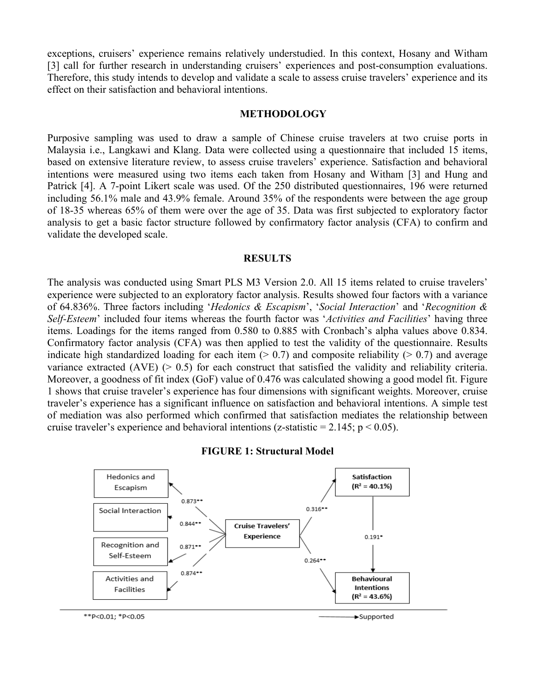exceptions, cruisers' experience remains relatively understudied. In this context, Hosany and Witham [3] call for further research in understanding cruisers' experiences and post-consumption evaluations. Therefore, this study intends to develop and validate a scale to assess cruise travelers' experience and its effect on their satisfaction and behavioral intentions.

#### **METHODOLOGY**

Purposive sampling was used to draw a sample of Chinese cruise travelers at two cruise ports in Malaysia i.e., Langkawi and Klang. Data were collected using a questionnaire that included 15 items, based on extensive literature review, to assess cruise travelers' experience. Satisfaction and behavioral intentions were measured using two items each taken from Hosany and Witham [3] and Hung and Patrick [4]. A 7-point Likert scale was used. Of the 250 distributed questionnaires, 196 were returned including 56.1% male and 43.9% female. Around 35% of the respondents were between the age group of 18-35 whereas 65% of them were over the age of 35. Data was first subjected to exploratory factor analysis to get a basic factor structure followed by confirmatory factor analysis (CFA) to confirm and validate the developed scale.

#### **RESULTS**

The analysis was conducted using Smart PLS M3 Version 2.0. All 15 items related to cruise travelers' experience were subjected to an exploratory factor analysis. Results showed four factors with a variance of 64.836%. Three factors including '*Hedonics & Escapism*', '*Social Interaction*' and '*Recognition & Self-Esteem*' included four items whereas the fourth factor was '*Activities and Facilities*' having three items. Loadings for the items ranged from 0.580 to 0.885 with Cronbach's alpha values above 0.834. Confirmatory factor analysis (CFA) was then applied to test the validity of the questionnaire. Results indicate high standardized loading for each item  $(0.7)$  and composite reliability  $(0.7)$  and average variance extracted (AVE)  $(> 0.5)$  for each construct that satisfied the validity and reliability criteria. Moreover, a goodness of fit index (GoF) value of 0.476 was calculated showing a good model fit. Figure 1 shows that cruise traveler's experience has four dimensions with significant weights. Moreover, cruise traveler's experience has a significant influence on satisfaction and behavioral intentions. A simple test of mediation was also performed which confirmed that satisfaction mediates the relationship between cruise traveler's experience and behavioral intentions (z-statistic =  $2.145$ ; p < 0.05).





\*\*P<0.01; \*P<0.05